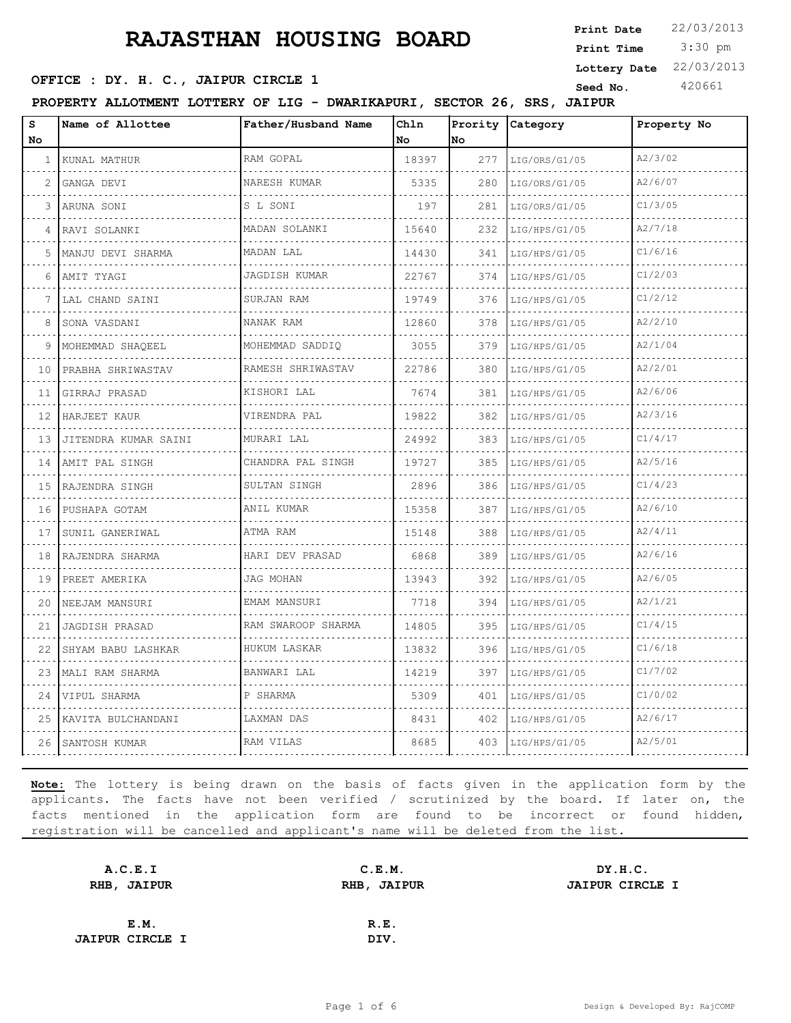3:30 pm **Print Date**  $22/03/2013$ **Print Time Lottery Date** 22/03/2013

### **SEED OFFICE : DY. H. C., JAIPUR CIRCLE 1 Seed No.** 420661

**PROPERTY ALLOTMENT LOTTERY OF LIG - DWARIKAPURI, SECTOR 26, SRS, JAIPUR**

| $\bf s$<br>No | Name of Allottee     | Father/Husband Name                  | Chln<br>No | Prority<br>No | Category           | Property No |
|---------------|----------------------|--------------------------------------|------------|---------------|--------------------|-------------|
| $\mathbf{1}$  | KUNAL MATHUR         | RAM GOPAL                            | 18397      | 277           | LIG/ORS/G1/05      | A2/3/02     |
| 2             | .<br>GANGA DEVI      | NARESH KUMAR                         | 5335       | 280           | .<br>LIG/ORS/G1/05 | A2/6/07     |
| 3             | ARUNA SONI           | S L SONI                             | 197        | 281           | LIG/ORS/G1/05      | C1/3/05     |
| 4             | RAVI SOLANKI         | MADAN SOLANKI<br>dia dia dia dia dia | 15640      | 232           | LIG/HPS/G1/05      | A2/7/18     |
| 5.            | MANJU DEVI SHARMA    | MADAN LAL                            | 14430      | 341           | LIG/HPS/G1/05      | C1/6/16     |
| 6             | AMIT TYAGI           | JAGDISH KUMAR                        | 22767      | 374           | LIG/HPS/G1/05      | C1/2/03     |
| 7             | LAL CHAND SAINI      | SURJAN RAM                           | 19749      | 376           | LIG/HPS/G1/05      | C1/2/12     |
| 8             | SONA VASDANI         | NANAK RAM                            | 12860      | 378           | LIG/HPS/G1/05      | A2/2/10     |
| 9             | MOHEMMAD SHAOEEL     | MOHEMMAD SADDIO                      | 3055       | 379           | LIG/HPS/G1/05      | A2/1/04     |
| 10            | PRABHA SHRIWASTAV    | RAMESH SHRIWASTAV                    | 22786      | 380           | LIG/HPS/G1/05      | A2/2/01     |
| 11            | GIRRAJ PRASAD        | KISHORI LAL                          | 7674       | 381           | LIG/HPS/G1/05      | A2/6/06     |
| 12            | HARJEET KAUR         | VIRENDRA PAL                         | 19822      | 382           | LIG/HPS/G1/05      | A2/3/16     |
| 13            | JITENDRA KUMAR SAINI | MURARI LAL<br>.                      | 24992      | 383           | LIG/HPS/G1/05      | C1/4/17     |
| 14            | AMIT PAL SINGH       | CHANDRA PAL SINGH                    | 19727      | 385           | LIG/HPS/G1/05      | A2/5/16     |
| 15            | RAJENDRA SINGH       | SULTAN SINGH                         | 2896       | 386           | LIG/HPS/G1/05      | C1/4/23     |
| 16            | PUSHAPA GOTAM        | ANIL KUMAR                           | 15358      | 387           | LIG/HPS/G1/05      | A2/6/10     |
| 17            | SUNIL GANERIWAL      | ATMA RAM                             | 15148      | 388           | LIG/HPS/G1/05      | A2/4/11     |
| 18            | RAJENDRA SHARMA      | HARI DEV PRASAD                      | 6868       | 389           | LIG/HPS/G1/05      | A2/6/16     |
| 19            | PREET AMERIKA        | JAG MOHAN                            | 13943      | 392           | LIG/HPS/G1/05      | A2/6/05     |
| 20            | NEEJAM MANSURI       | EMAM MANSURI                         | 7718       | 394           | LIG/HPS/G1/05      | A2/1/21     |
| 21            | JAGDISH PRASAD       | RAM SWAROOP SHARMA                   | 14805      | 395           | LIG/HPS/G1/05      | C1/4/15     |
| 22            | SHYAM BABU LASHKAR   | HUKUM LASKAR                         | 13832      | 396           | LIG/HPS/G1/05      | C1/6/18     |
| 23            | MALI RAM SHARMA      | BANWARI LAL                          | 14219      | 397           | LIG/HPS/G1/05      | C1/7/02     |
| 24            | VIPUL SHARMA         | P SHARMA                             | 5309       | 401           | LIG/HPS/G1/05      | C1/0/02     |
| 25            | KAVITA BULCHANDANI   | LAXMAN DAS                           | 8431       | 402           | LIG/HPS/G1/05      | A2/6/17     |
| 26            | SANTOSH KUMAR        | RAM VILAS                            | 8685       | 403           | LIG/HPS/G1/05      | A2/5/01     |

| A.C.E.I                | C.E.M.      | DY.H.C.                |
|------------------------|-------------|------------------------|
| RHB, JAIPUR            | RHB, JAIPUR | <b>JAIPUR CIRCLE I</b> |
|                        |             |                        |
| E.M.                   | R.E.        |                        |
| <b>JAIPUR CIRCLE I</b> | DIV.        |                        |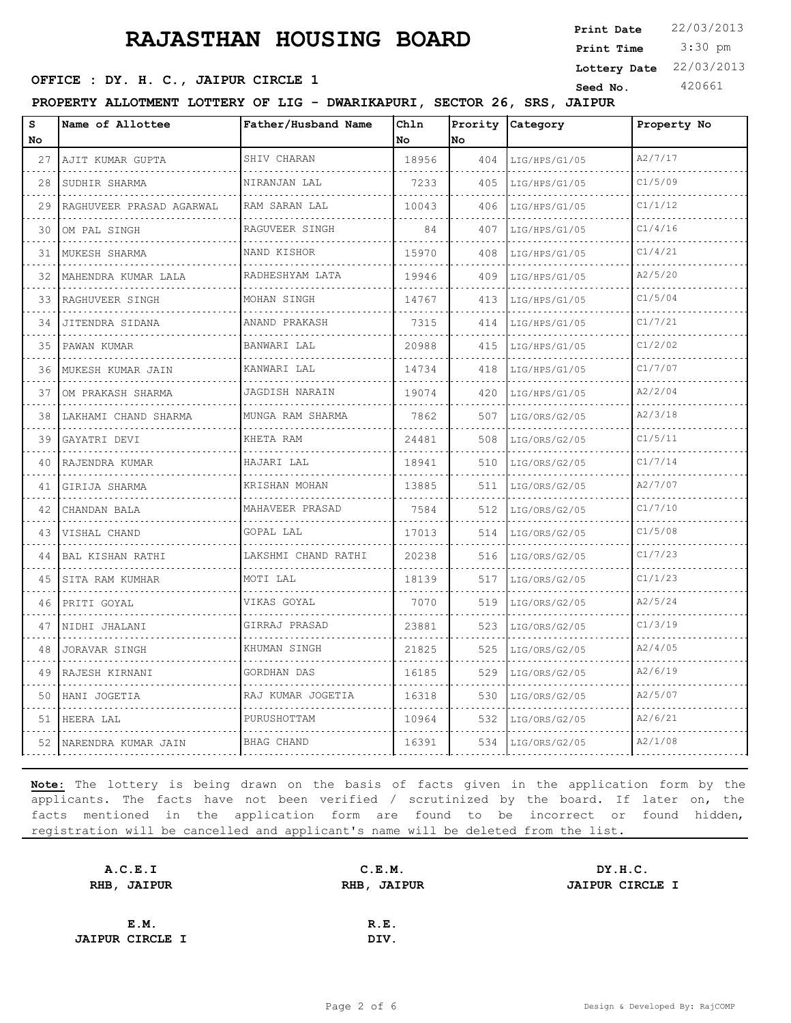3:30 pm **Print Date**  $22/03/2013$ **Print Time Lottery Date** 22/03/2013

### **SEED OFFICE : DY. H. C., JAIPUR CIRCLE 1 Seed No.** 420661

**PROPERTY ALLOTMENT LOTTERY OF LIG - DWARIKAPURI, SECTOR 26, SRS, JAIPUR**

| S<br>No.      | Name of Allottee          | Father/Husband Name  | Chln<br>No. | Prority<br>No | Category      | Property No |
|---------------|---------------------------|----------------------|-------------|---------------|---------------|-------------|
| 27            | AJIT KUMAR GUPTA          | SHIV CHARAN          | 18956       | 404           | LIG/HPS/G1/05 | A2/7/17     |
| - - - -<br>28 | SUDHIR SHARMA             | NIRANJAN LAL         | 7233        | 405           | LIG/HPS/G1/05 | C1/5/09     |
| 29            | RAGHUVEER PRASAD AGARWAL  | RAM SARAN LAL        | 10043       | 406           | LIG/HPS/G1/05 | C1/1/12     |
| 30            | OM PAL SINGH              | RAGUVEER SINGH<br>.  | 84          | 407           | LIG/HPS/G1/05 | C1/4/16     |
| 31            | MUKESH SHARMA             | NAND KISHOR          | 15970       | 408           | LIG/HPS/G1/05 | C1/4/21     |
| 32            | MAHENDRA KUMAR LALA       | RADHESHYAM LATA<br>. | 19946       | 409           | LIG/HPS/G1/05 | A2/5/20     |
| 33            | RAGHUVEER SINGH           | MOHAN SINGH          | 14767       | 413           | LIG/HPS/G1/05 | C1/5/04     |
| 34            | JITENDRA SIDANA           | ANAND PRAKASH        | 7315        | 414           | LIG/HPS/G1/05 | C1/7/21     |
| 35            | PAWAN KUMAR               | BANWARI LAL          | 20988       | 415           | LIG/HPS/G1/05 | C1/2/02     |
| 36            | MUKESH KUMAR JAIN         | KANWARI LAL          | 14734       | 418           | LIG/HPS/G1/05 | C1/7/07     |
| 37            | OM PRAKASH SHARMA         | JAGDISH NARAIN       | 19074       | 420           | LIG/HPS/G1/05 | A2/2/04     |
| 38            | LAKHAMI CHAND SHARMA<br>. | MUNGA RAM SHARMA     | 7862        | 507           | LIG/ORS/G2/05 | A2/3/18     |
| 39            | GAYATRI DEVI              | KHETA RAM            | 24481       | 508           | LIG/ORS/G2/05 | C1/5/11     |
| 40            | RAJENDRA KUMAR            | HAJARI LAL           | 18941       | 510           | LIG/ORS/G2/05 | C1/7/14     |
| 41            | GIRIJA SHARMA             | KRISHAN MOHAN        | 13885       | 511           | LIG/ORS/G2/05 | A2/7/07     |
| 42            | CHANDAN BALA              | MAHAVEER PRASAD      | 7584        | 512           | LIG/ORS/G2/05 | C1/7/10     |
| 43            | VISHAL CHAND              | GOPAL LAL            | 17013       | 514           | LIG/ORS/G2/05 | C1/5/08     |
| 44            | BAL KISHAN RATHI          | LAKSHMI CHAND RATHI  | 20238       | 516           | LIG/ORS/G2/05 | C1/7/23     |
| 45            | SITA RAM KUMHAR           | MOTI LAL             | 18139       | 517           | LIG/ORS/G2/05 | C1/1/23     |
| 46            | PRITI GOYAL               | VIKAS GOYAL          | 7070        | 519           | LIG/ORS/G2/05 | A2/5/24     |
| 47            | NIDHI JHALANI             | GIRRAJ PRASAD<br>.   | 23881       | 523           | LIG/ORS/G2/05 | C1/3/19     |
| 48            | JORAVAR SINGH             | KHUMAN SINGH         | 21825       | 525           | LIG/ORS/G2/05 | A2/4/05     |
| 49            | RAJESH KIRNANI            | GORDHAN DAS          | 16185       | 529           | LIG/ORS/G2/05 | A2/6/19     |
| 50            | HANI JOGETIA              | RAJ KUMAR JOGETIA    | 16318       | 530           | LIG/ORS/G2/05 | A2/5/07     |
| 51            | HEERA LAL                 | PURUSHOTTAM          | 10964       | 532           | LIG/ORS/G2/05 | A2/6/21     |
| 52            | NARENDRA KUMAR JAIN       | <b>BHAG CHAND</b>    | 16391       | 534           | LIG/ORS/G2/05 | A2/1/08     |

| A.C.E.I                | C.E.M.      | DY.H.C.                |
|------------------------|-------------|------------------------|
| RHB, JAIPUR            | RHB, JAIPUR | <b>JAIPUR CIRCLE I</b> |
|                        |             |                        |
| E.M.                   | R.E.        |                        |
| <b>JAIPUR CIRCLE I</b> | DIV.        |                        |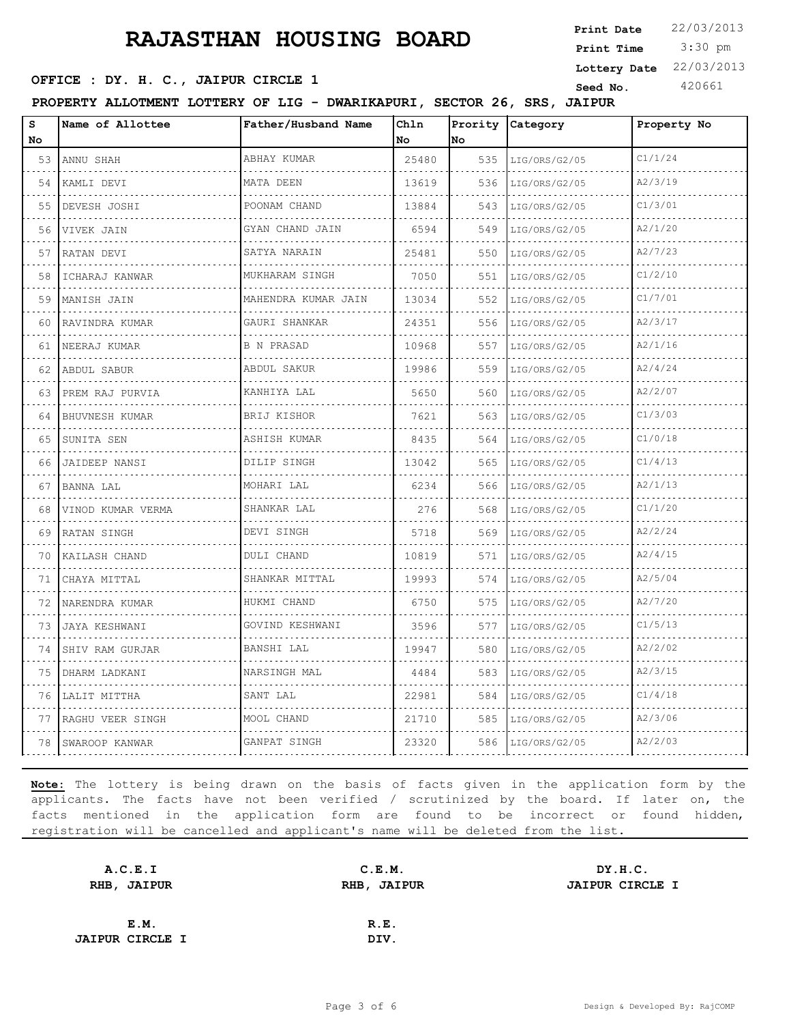3:30 pm **Print Date**  $22/03/2013$ **Print Time Lottery Date** 22/03/2013

### **SEED OFFICE : DY. H. C., JAIPUR CIRCLE 1 Seed No.** 420661

**PROPERTY ALLOTMENT LOTTERY OF LIG - DWARIKAPURI, SECTOR 26, SRS, JAIPUR**

| s<br>No | Name of Allottee   | Father/Husband Name  | Chln<br>No. | <b>No</b> | Prority Category | Property No |
|---------|--------------------|----------------------|-------------|-----------|------------------|-------------|
| 53      | ANNU SHAH          | ABHAY KUMAR          | 25480       | 535       | LIG/ORS/G2/05    | C1/1/24     |
| 54      | KAMLI DEVI         | MATA DEEN            | 13619       | 536       | LIG/ORS/G2/05    | A2/3/19     |
| 55      | DEVESH JOSHI       | POONAM CHAND         | 13884       | 543       | LIG/ORS/G2/05    | C1/3/01     |
| 56      | VIVEK JAIN         | GYAN CHAND JAIN<br>. | 6594        | 549       | LIG/ORS/G2/05    | A2/1/20     |
| 57      | RATAN DEVI         | SATYA NARAIN         | 25481       | 550       | LIG/ORS/G2/05    | A2/7/23     |
| 58      | ICHARAJ KANWAR     | MUKHARAM SINGH<br>.  | 7050        | 551       | LIG/ORS/G2/05    | C1/2/10     |
| 59      | MANISH JAIN        | MAHENDRA KUMAR JAIN  | 13034       | 552       | LIG/ORS/G2/05    | C1/7/01     |
| 60      | RAVINDRA KUMAR     | GAURI SHANKAR        | 24351       | 556       | LIG/ORS/G2/05    | A2/3/17     |
| 61      | NEERAJ KUMAR       | <b>B N PRASAD</b>    | 10968       | 557       | LIG/ORS/G2/05    | A2/1/16     |
| 62      | ABDUL SABUR        | ABDUL SAKUR          | 19986       | 559       | LIG/ORS/G2/05    | A2/4/24     |
| 63      | PREM RAJ PURVIA    | KANHIYA LAL          | 5650        | 560       | LIG/ORS/G2/05    | A2/2/07     |
| 64      | BHUVNESH KUMAR     | BRIJ KISHOR          | 7621        | 563       | LIG/ORS/G2/05    | C1/3/03     |
| 65      | SUNITA SEN         | ASHISH KUMAR         | 8435        | 564       | LIG/ORS/G2/05    | C1/0/18     |
| 66      | JAIDEEP NANSI      | DILIP SINGH          | 13042       | 565       | LIG/ORS/G2/05    | C1/4/13     |
| 67      | BANNA LAL          | MOHARI LAL           | 6234        | 566       | LIG/ORS/G2/05    | A2/1/13     |
| 68      | VINOD KUMAR VERMA  | SHANKAR LAL          | 276         | 568       | LIG/ORS/G2/05    | C1/1/20     |
| 69      | <b>RATAN SINGH</b> | DEVI SINGH           | 5718        | 569       | LIG/ORS/G2/05    | A2/2/24     |
| 70      | KAILASH CHAND      | DULI CHAND           | 10819       | 571       | LIG/ORS/G2/05    | A2/4/15     |
| 71      | CHAYA MITTAL       | SHANKAR MITTAL       | 19993       | 574       | LIG/ORS/G2/05    | A2/5/04     |
| 72      | NARENDRA KUMAR     | HUKMI CHAND          | 6750        | 575       | LIG/ORS/G2/05    | A2/7/20     |
| 73      | JAYA KESHWANI      | GOVIND KESHWANI      | 3596        | 577       | LIG/ORS/G2/05    | C1/5/13     |
| 74      | SHIV RAM GURJAR    | BANSHI LAL           | 19947       | 580       | LIG/ORS/G2/05    | A2/2/02     |
| 75      | DHARM LADKANI      | NARSINGH MAL         | 4484        | 583       | LIG/ORS/G2/05    | A2/3/15     |
| 76      | LALIT MITTHA       | SANT LAL             | 22981       | 584       | LIG/ORS/G2/05    | C1/4/18     |
| 77      | RAGHU VEER SINGH   | MOOL CHAND           | 21710       | 585       | LIG/ORS/G2/05    | A2/3/06     |
| 78      | SWAROOP KANWAR     | GANPAT SINGH         | 23320       | 586       | LIG/ORS/G2/05    | A2/2/03     |

| A.C.E.I                | C.E.M.      | DY.H.C.                |
|------------------------|-------------|------------------------|
| RHB, JAIPUR            | RHB, JAIPUR | <b>JAIPUR CIRCLE I</b> |
|                        |             |                        |
| E.M.                   | R.E.        |                        |
| <b>JAIPUR CIRCLE I</b> | DIV.        |                        |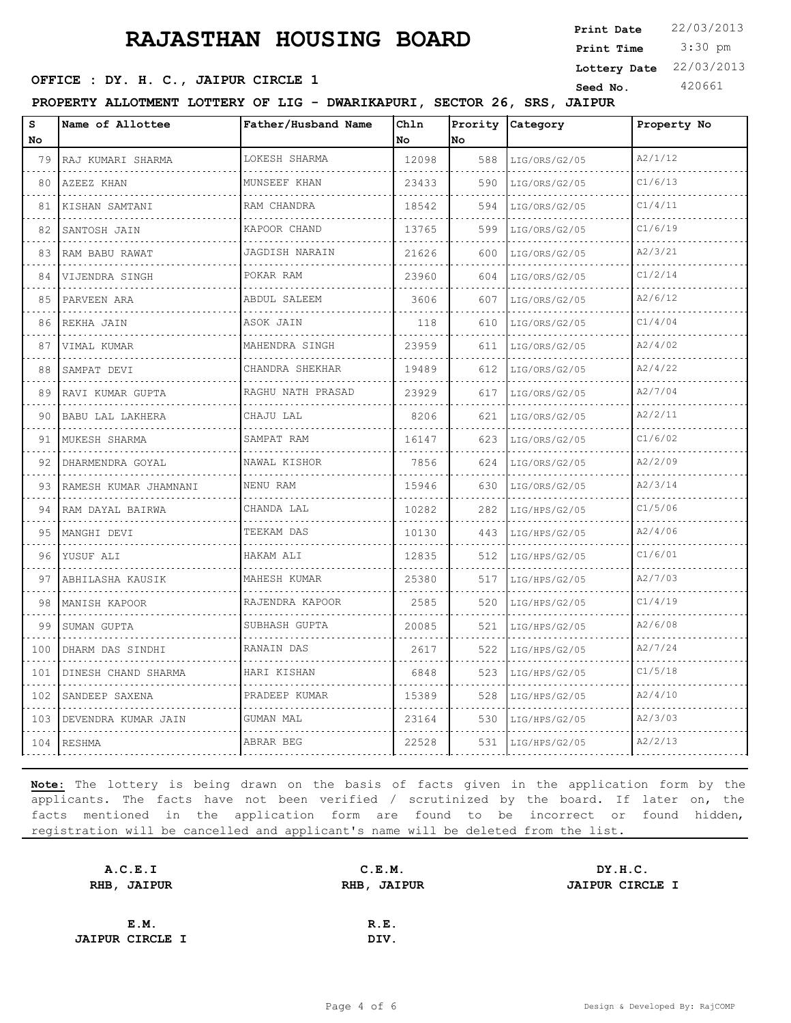3:30 pm **Print Date**  $22/03/2013$ **Print Time Lottery Date** 22/03/2013

### **SEED OFFICE : DY. H. C., JAIPUR CIRCLE 1 Seed No.** 420661

**PROPERTY ALLOTMENT LOTTERY OF LIG - DWARIKAPURI, SECTOR 26, SRS, JAIPUR**

| S<br>No. | Name of Allottee           | Father/Husband Name                  | Chln<br>No | Prority<br>No | Category      | Property No |
|----------|----------------------------|--------------------------------------|------------|---------------|---------------|-------------|
| 79       | RAJ KUMARI SHARMA          | LOKESH SHARMA<br>.                   | 12098      | 588           | LIG/ORS/G2/05 | A2/1/12     |
| 80       | AZEEZ KHAN                 | MUNSEEF KHAN                         | 23433      | 590           | LIG/ORS/G2/05 | C1/6/13     |
| 81       | KISHAN SAMTANI             | RAM CHANDRA                          | 18542      | 594           | LIG/ORS/G2/05 | C1/4/11     |
| 82       | SANTOSH JAIN               | KAPOOR CHAND<br><b>September 200</b> | 13765      | 599           | LIG/ORS/G2/05 | C1/6/19     |
| 83       | RAM BABU RAWAT             | JAGDISH NARAIN                       | 21626      | 600           | LIG/ORS/G2/05 | A2/3/21     |
| 84       | VIJENDRA SINGH             | POKAR RAM                            | 23960      | 604           | LIG/ORS/G2/05 | C1/2/14     |
| 85       | PARVEEN ARA                | ABDUL SALEEM                         | 3606       | 607           | LIG/ORS/G2/05 | A2/6/12     |
| 86       | REKHA JAIN                 | ASOK JAIN                            | 118        | 610           | LIG/ORS/G2/05 | C1/4/04     |
| 87       | VIMAL KUMAR                | MAHENDRA SINGH                       | 23959      | 611           | LIG/ORS/G2/05 | A2/4/02     |
| 88       | SAMPAT DEVI                | CHANDRA SHEKHAR                      | 19489      | 612           | LIG/ORS/G2/05 | A2/4/22     |
| 89       | RAVI KUMAR GUPTA           | RAGHU NATH PRASAD                    | 23929      | 617           | LIG/ORS/G2/05 | A2/7/04     |
| 90       | BABU LAL LAKHERA           | CHAJU LAL                            | 8206       | 621           | LIG/ORS/G2/05 | A2/2/11     |
| 91       | MUKESH SHARMA              | SAMPAT RAM                           | 16147      | 623           | LIG/ORS/G2/05 | C1/6/02     |
| 92       | DHARMENDRA GOYAL           | NAWAL KISHOR                         | 7856       | 624           | LIG/ORS/G2/05 | A2/2/09     |
| 93       | RAMESH KUMAR JHAMNANI<br>. | NENU RAM                             | 15946      | 630           | LIG/ORS/G2/05 | A2/3/14     |
| 94       | RAM DAYAL BAIRWA           | CHANDA LAL                           | 10282      | 282           | LIG/HPS/G2/05 | C1/5/06     |
| 95       | MANGHI DEVI                | TEEKAM DAS                           | 10130      | 443           | LIG/HPS/G2/05 | A2/4/06     |
| 96       | YUSUF ALI                  | HAKAM ALI                            | 12835      | 512           | LIG/HPS/G2/05 | C1/6/01     |
| 97       | ABHILASHA KAUSIK           | MAHESH KUMAR                         | 25380      | 517           | LIG/HPS/G2/05 | A2/7/03     |
| 98       | MANISH KAPOOR              | RAJENDRA KAPOOR                      | 2585       | 520           | LIG/HPS/G2/05 | C1/4/19     |
| 99       | SUMAN GUPTA                | SUBHASH GUPTA                        | 20085      | 521           | LIG/HPS/G2/05 | A2/6/08     |
| 100      | DHARM DAS SINDHI           | RANAIN DAS                           | 2617       | 522           | LIG/HPS/G2/05 | A2/7/24     |
| 101      | DINESH CHAND SHARMA        | HARI KISHAN                          | 6848       | 523           | LIG/HPS/G2/05 | C1/5/18     |
| 102      | SANDEEP SAXENA             | PRADEEP KUMAR                        | 15389      | 528           | LIG/HPS/G2/05 | A2/4/10     |
| 103      | DEVENDRA KUMAR JAIN        | GUMAN MAL                            | 23164      | 530           | LIG/HPS/G2/05 | A2/3/03     |
|          | 104 RESHMA                 | ABRAR BEG                            | 22528      | 531           | LIG/HPS/G2/05 | A2/2/13     |

| A.C.E.I                | C.E.M.      | DY.H.C.                |
|------------------------|-------------|------------------------|
| RHB, JAIPUR            | RHB, JAIPUR | <b>JAIPUR CIRCLE I</b> |
|                        |             |                        |
| E.M.                   | R.E.        |                        |
| <b>JAIPUR CIRCLE I</b> | DIV.        |                        |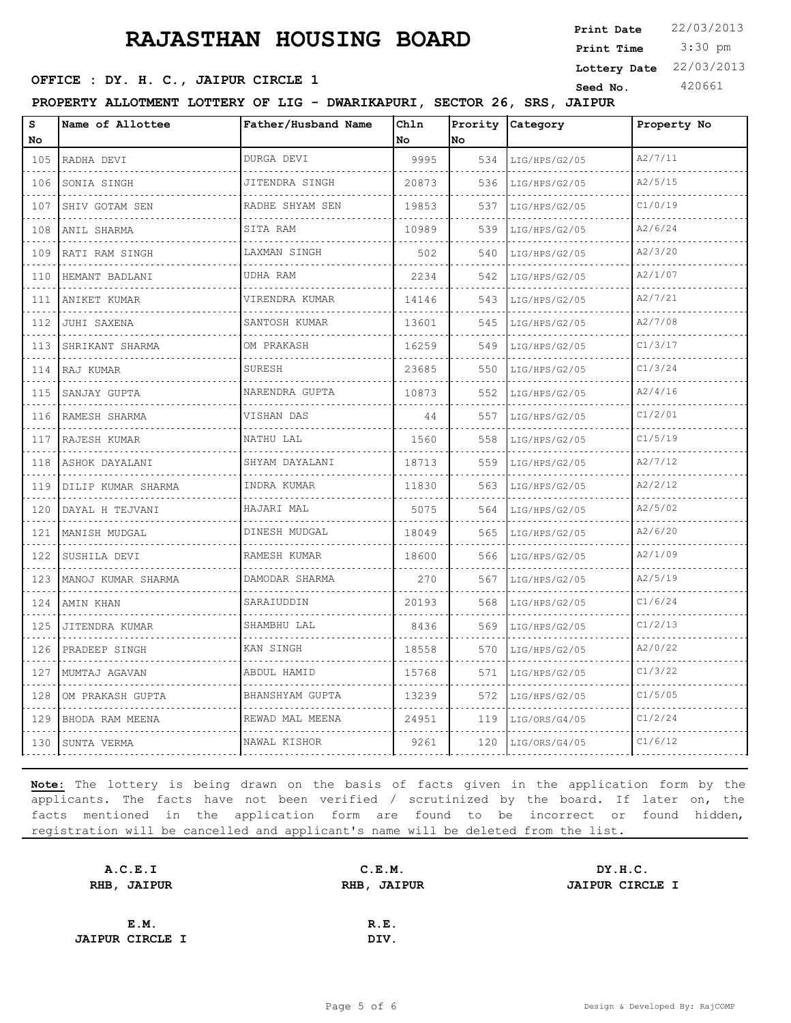3:30 pm **Print Date**  $22/03/2013$ **Print Time Lottery Date** 22/03/2013

### **SEED OFFICE : DY. H. C., JAIPUR CIRCLE 1 Seed No.** 420661

**PROPERTY ALLOTMENT LOTTERY OF LIG - DWARIKAPURI, SECTOR 26, SRS, JAIPUR**

| S<br>No                            | Name of Allottee                 | Father/Husband Name | Chln<br>No | Prority<br>No | Category           | Property No |
|------------------------------------|----------------------------------|---------------------|------------|---------------|--------------------|-------------|
| 105                                | RADHA DEVI                       | DURGA DEVI          | 9995       | 534           | LIG/HPS/G2/05      | A2/7/11     |
| .<br>106                           | د د د د د د د د د<br>SONIA SINGH | JITENDRA SINGH      | 20873      | 536           | LIG/HPS/G2/05      | A2/5/15     |
| a a s<br>107                       | SHIV GOTAM SEN                   | RADHE SHYAM SEN     | 19853      | 537           | LIG/HPS/G2/05      | C1/0/19     |
| 108                                | ANIL SHARMA                      | SITA RAM            | 10989      | 539           | LIG/HPS/G2/05      | A2/6/24     |
| .<br>109                           | RATI RAM SINGH                   | LAXMAN SINGH        | 502        | 540           | LIG/HPS/G2/05      | A2/3/20     |
| .<br>110                           | HEMANT BADLANI                   | UDHA RAM            | 2234       | 542           | LIG/HPS/G2/05      | A2/1/07     |
| 111                                | ANIKET KUMAR                     | VIRENDRA KUMAR      | 14146      | 543           | LIG/HPS/G2/05      | A2/7/21     |
| .<br>112                           | JUHI SAXENA                      | .<br>SANTOSH KUMAR  | 13601      | 545           | LIG/HPS/G2/05      | A2/7/08     |
| $\sim$ $\sim$ $\sim$ $\sim$<br>113 | SHRIKANT SHARMA                  | OM PRAKASH          | 16259      | 549           | LIG/HPS/G2/05      | C1/3/17     |
| 114                                | RAJ KUMAR                        | SURESH              | 23685      | 550           | LIG/HPS/G2/05      | C1/3/24     |
| .<br>115                           | .<br>SANJAY GUPTA                | NARENDRA GUPTA      | 10873      | 552           | LIG/HPS/G2/05      | A2/4/16     |
| 116                                | RAMESH SHARMA                    | VISHAN DAS          | 44         | 557           | LIG/HPS/G2/05      | C1/2/01     |
| 117                                | RAJESH KUMAR                     | NATHU LAL<br>.      | 1560       | 558           | LIG/HPS/G2/05      | C1/5/19     |
| .<br>118                           | .<br>ASHOK DAYALANI              | SHYAM DAYALANI      | 18713      | 559           | .<br>LIG/HPS/G2/05 | A2/7/12     |
| 119                                | DILIP KUMAR SHARMA               | INDRA KUMAR         | 11830      | 563           | LIG/HPS/G2/05      | A2/2/12     |
| 120                                | DAYAL H TEJVANI                  | HAJARI MAL          | 5075       | 564           | LIG/HPS/G2/05      | A2/5/02     |
| المتمام<br>121                     | MANISH MUDGAL                    | DINESH MUDGAL       | 18049      | 565           | LIG/HPS/G2/05      | A2/6/20     |
| 122                                | SUSHILA DEVI                     | RAMESH KUMAR        | 18600      | 566           | LIG/HPS/G2/05      | A2/1/09     |
| 123                                | MANOJ KUMAR SHARMA               | DAMODAR SHARMA<br>. | 270        | 567           | LIG/HPS/G2/05      | A2/5/19     |
| $\sim$ $\sim$ $\sim$ $\sim$<br>124 | AMIN KHAN                        | SARAIUDDIN          | 20193      | 568           | LIG/HPS/G2/05      | C1/6/24     |
| 125                                | JITENDRA KUMAR                   | SHAMBHU LAL         | 8436       | 569           | LIG/HPS/G2/05      | C1/2/13     |
| 126                                | PRADEEP SINGH                    | KAN SINGH           | 18558      | 570           | LIG/HPS/G2/05      | A2/0/22     |
| د د د د<br>127                     | MUMTAJ AGAVAN                    | ABDUL HAMID         | 15768      | 571           | LIG/HPS/G2/05      | C1/3/22     |
| 128                                | OM PRAKASH GUPTA                 | BHANSHYAM GUPTA     | 13239      | 572           | LIG/HPS/G2/05      | C1/5/05     |
| 129                                | BHODA RAM MEENA                  | REWAD MAL MEENA     | 24951      | 119           | LIG/ORS/G4/05      | C1/2/24     |
| 130                                | SUNTA VERMA                      | .<br>NAWAL KISHOR   | 9261       | 120           | LIG/ORS/G4/05      | C1/6/12     |

| A.C.E.I                | C.E.M.      | DY.H.C.                |
|------------------------|-------------|------------------------|
| RHB, JAIPUR            | RHB, JAIPUR | <b>JAIPUR CIRCLE I</b> |
|                        |             |                        |
| E.M.                   | R.E.        |                        |
| <b>JAIPUR CIRCLE I</b> | DIV.        |                        |